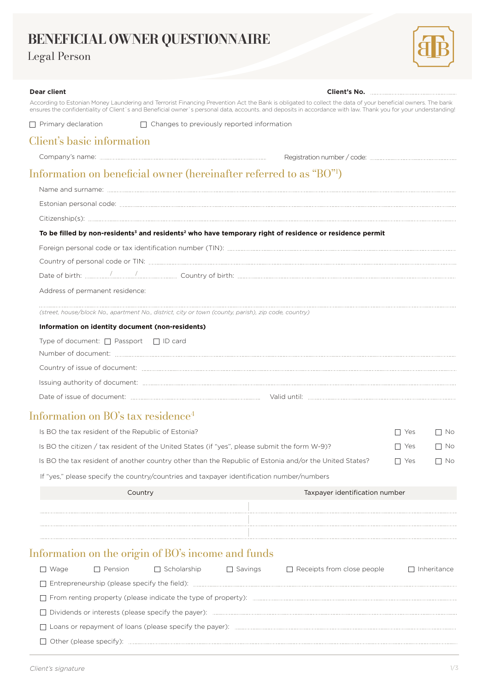# **BENEFICIAL OWNER QUESTIONNAIRE**

## Legal Person



| <b>Dear client</b>                                                                                     |                                                   |                | Client's No. <b>2008</b>                                                                                                                                                                                                                                                                                                      |           |             |
|--------------------------------------------------------------------------------------------------------|---------------------------------------------------|----------------|-------------------------------------------------------------------------------------------------------------------------------------------------------------------------------------------------------------------------------------------------------------------------------------------------------------------------------|-----------|-------------|
|                                                                                                        |                                                   |                | According to Estonian Money Laundering and Terrorist Financing Prevention Act the Bank is obligated to collect the data of your beneficial owners. The bank<br>ensures the confidentiality of Client's and Beneficial owner's personal data, accounts. and deposits in accordance with law. Thank you for your understanding! |           |             |
| $\Box$ Primary declaration                                                                             | $\Box$ Changes to previously reported information |                |                                                                                                                                                                                                                                                                                                                               |           |             |
| Client's basic information                                                                             |                                                   |                |                                                                                                                                                                                                                                                                                                                               |           |             |
|                                                                                                        |                                                   |                |                                                                                                                                                                                                                                                                                                                               |           |             |
| Information on beneficial owner (hereinafter referred to as "BO"!)                                     |                                                   |                |                                                                                                                                                                                                                                                                                                                               |           |             |
|                                                                                                        |                                                   |                |                                                                                                                                                                                                                                                                                                                               |           |             |
|                                                                                                        |                                                   |                |                                                                                                                                                                                                                                                                                                                               |           |             |
|                                                                                                        |                                                   |                |                                                                                                                                                                                                                                                                                                                               |           |             |
|                                                                                                        |                                                   |                | To be filled by non-residents <sup>3</sup> and residents <sup>2</sup> who have temporary right of residence or residence permit                                                                                                                                                                                               |           |             |
|                                                                                                        |                                                   |                |                                                                                                                                                                                                                                                                                                                               |           |             |
|                                                                                                        |                                                   |                |                                                                                                                                                                                                                                                                                                                               |           |             |
|                                                                                                        |                                                   |                |                                                                                                                                                                                                                                                                                                                               |           |             |
| Address of permanent residence:                                                                        |                                                   |                |                                                                                                                                                                                                                                                                                                                               |           |             |
| (street, house/block No., apartment No., district, city or town (county, parish), zip code, country)   |                                                   |                |                                                                                                                                                                                                                                                                                                                               |           |             |
| Information on identity document (non-residents)                                                       |                                                   |                |                                                                                                                                                                                                                                                                                                                               |           |             |
| Type of document: $\Box$ Passport $\Box$ ID card                                                       |                                                   |                |                                                                                                                                                                                                                                                                                                                               |           |             |
|                                                                                                        |                                                   |                |                                                                                                                                                                                                                                                                                                                               |           |             |
|                                                                                                        |                                                   |                |                                                                                                                                                                                                                                                                                                                               |           |             |
|                                                                                                        |                                                   |                |                                                                                                                                                                                                                                                                                                                               |           |             |
| Information on BO's tax residence <sup>4</sup>                                                         |                                                   |                |                                                                                                                                                                                                                                                                                                                               |           |             |
| Is BO the tax resident of the Republic of Estonia?                                                     |                                                   |                |                                                                                                                                                                                                                                                                                                                               | l I Yes   | $\Box$ No   |
| Is BO the citizen / tax resident of the United States (if "yes", please submit the form W-9)?          |                                                   |                | l I Yes                                                                                                                                                                                                                                                                                                                       | $\Box$ No |             |
| Is BO the tax resident of another country other than the Republic of Estonia and/or the United States? |                                                   |                | l I Yes                                                                                                                                                                                                                                                                                                                       | No        |             |
| If "yes," please specify the country/countries and taxpayer identification number/numbers              |                                                   |                |                                                                                                                                                                                                                                                                                                                               |           |             |
| Country                                                                                                |                                                   |                | Taxpayer identification number                                                                                                                                                                                                                                                                                                |           |             |
|                                                                                                        |                                                   |                |                                                                                                                                                                                                                                                                                                                               |           |             |
|                                                                                                        |                                                   |                |                                                                                                                                                                                                                                                                                                                               |           |             |
|                                                                                                        |                                                   |                |                                                                                                                                                                                                                                                                                                                               |           |             |
| Information on the origin of BO's income and funds                                                     |                                                   |                |                                                                                                                                                                                                                                                                                                                               |           |             |
| $\Box$ Wage<br>Pension                                                                                 | $\Box$ Scholarship                                | $\Box$ Savings | $\Box$ Receipts from close people                                                                                                                                                                                                                                                                                             |           | Inheritance |
|                                                                                                        |                                                   |                |                                                                                                                                                                                                                                                                                                                               |           |             |
|                                                                                                        |                                                   |                |                                                                                                                                                                                                                                                                                                                               |           |             |

Other (please specify):

Dividends or interests (please specify the payer):

Loans or repayment of loans (please specify the payer):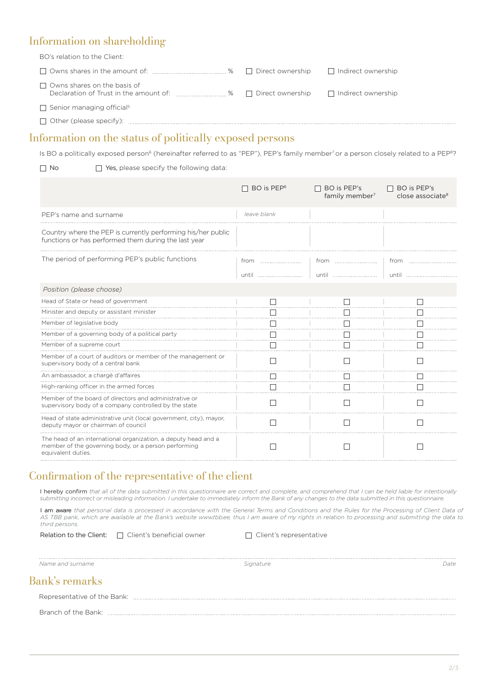### Information on shareholding

BO's relation to the Client:

| $\Box$ Owns shares in the amount of: $\Box$<br>%                                  | Direct ownership | □ Indirect ownership |
|-----------------------------------------------------------------------------------|------------------|----------------------|
| $\Box$ Owns shares on the basis of<br>Declaration of Trust in the amount of:<br>% | Direct ownership | Indirect ownership   |
| $\Box$ Senior managing official <sup>5</sup>                                      |                  |                      |
| $\Box$ Other (please specify):                                                    |                  |                      |

#### Information on the status of politically exposed persons

Is BO a politically exposed person<sup>6</sup> (hereinafter referred to as "PEP"), PEP's family member<sup>7</sup> or a person closely related to a PEP<sup>8</sup>?

 $\Box$  No  $\Box$  Yes, please specify the following data:

|                                                                                                                                              | BO is PEP <sup>6</sup> | BO is PEP's<br>family member <sup>7</sup> | BO is PEP's<br>close associate <sup>8</sup> |
|----------------------------------------------------------------------------------------------------------------------------------------------|------------------------|-------------------------------------------|---------------------------------------------|
| PEP's name and surname                                                                                                                       | leave blank            |                                           |                                             |
| Country where the PEP is currently performing his/her public<br>functions or has performed them during the last year                         |                        |                                           |                                             |
| The period of performing PEP's public functions                                                                                              | from                   |                                           | from                                        |
|                                                                                                                                              |                        | <u>until </u>                             | until                                       |
| Position (please choose)                                                                                                                     |                        |                                           |                                             |
| Head of State or head of government                                                                                                          |                        |                                           |                                             |
| Minister and deputy or assistant minister                                                                                                    |                        |                                           |                                             |
| Member of legislative body                                                                                                                   |                        |                                           |                                             |
| Member of a governing body of a political party                                                                                              |                        |                                           |                                             |
| Member of a supreme court                                                                                                                    |                        |                                           |                                             |
| Member of a court of auditors or member of the management or<br>supervisory body of a central bank                                           |                        |                                           |                                             |
| An ambassador, a chargé d'affaires                                                                                                           |                        |                                           |                                             |
| High-ranking officer in the armed forces                                                                                                     |                        |                                           |                                             |
| Member of the board of directors and administrative or<br>supervisory body of a company controlled by the state                              |                        |                                           |                                             |
| Head of state administrative unit (local government, city), mayor,<br>deputy mayor or chairman of council                                    |                        |                                           |                                             |
| The head of an international organization, a deputy head and a<br>member of the governing body, or a person performing<br>equivalent duties. |                        |                                           |                                             |

#### Confirmation of the representative of the client

I hereby confirm *that all of the data submitted in this questionnaire are correct and complete, and comprehend that I can be held liable for intentionally submitting incorrect or misleading information. I undertake to immediately inform the Bank of any changes to the data submitted in this questionnaire.*

I am aware that personal data is processed in accordance with the General Terms and Conditions and the Rules for the Processing of Client Data of AS TBB pank, which are available at the Bank's website www.tbb.ee, thus I am aware of my rights in relation to processing and submitting the data to *third persons.*

Relation to the Client:  $\Box$  Client's beneficial owner

□ Client's representative

*Name and surname*

 *Signature Date*

#### Bank's remarks

Representative of the Bank: Branch of the Bank: